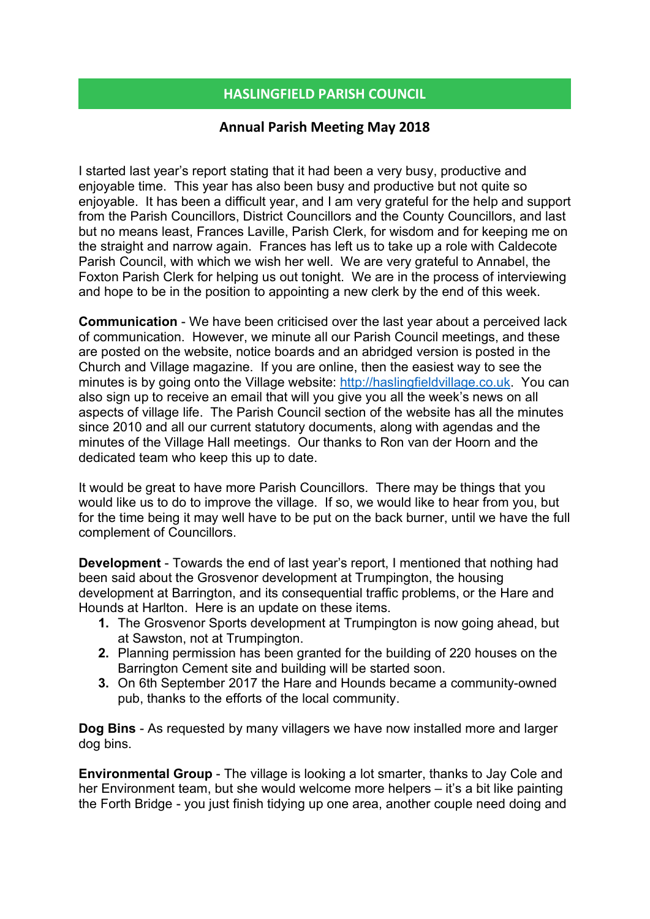## HASLINGFIELD PARISH COUNCIL

## Annual Parish Meeting May 2018

I started last year's report stating that it had been a very busy, productive and enjoyable time. This year has also been busy and productive but not quite so enjoyable. It has been a difficult year, and I am very grateful for the help and support from the Parish Councillors, District Councillors and the County Councillors, and last but no means least, Frances Laville, Parish Clerk, for wisdom and for keeping me on the straight and narrow again. Frances has left us to take up a role with Caldecote Parish Council, with which we wish her well. We are very grateful to Annabel, the Foxton Parish Clerk for helping us out tonight. We are in the process of interviewing and hope to be in the position to appointing a new clerk by the end of this week.

Communication - We have been criticised over the last year about a perceived lack of communication. However, we minute all our Parish Council meetings, and these are posted on the website, notice boards and an abridged version is posted in the Church and Village magazine. If you are online, then the easiest way to see the minutes is by going onto the Village website: http://haslingfieldvillage.co.uk. You can also sign up to receive an email that will you give you all the week's news on all aspects of village life. The Parish Council section of the website has all the minutes since 2010 and all our current statutory documents, along with agendas and the minutes of the Village Hall meetings. Our thanks to Ron van der Hoorn and the dedicated team who keep this up to date.

It would be great to have more Parish Councillors. There may be things that you would like us to do to improve the village. If so, we would like to hear from you, but for the time being it may well have to be put on the back burner, until we have the full complement of Councillors.

Development - Towards the end of last year's report, I mentioned that nothing had been said about the Grosvenor development at Trumpington, the housing development at Barrington, and its consequential traffic problems, or the Hare and Hounds at Harlton. Here is an update on these items.

- 1. The Grosvenor Sports development at Trumpington is now going ahead, but at Sawston, not at Trumpington.
- 2. Planning permission has been granted for the building of 220 houses on the Barrington Cement site and building will be started soon.
- 3. On 6th September 2017 the Hare and Hounds became a community-owned pub, thanks to the efforts of the local community.

Dog Bins - As requested by many villagers we have now installed more and larger dog bins.

Environmental Group - The village is looking a lot smarter, thanks to Jay Cole and her Environment team, but she would welcome more helpers – it's a bit like painting the Forth Bridge - you just finish tidying up one area, another couple need doing and